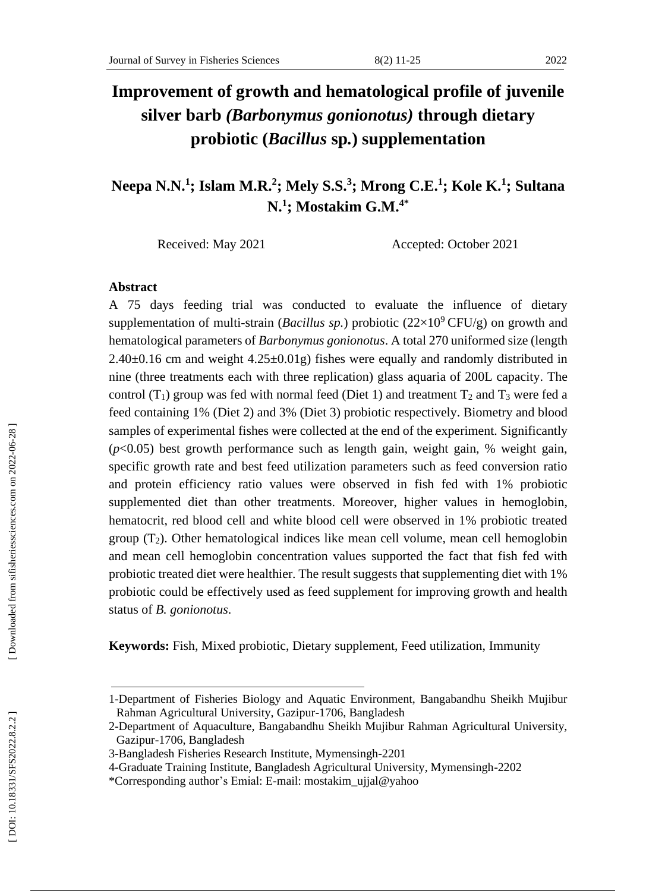# **Improvement of growth and hematological profile of juvenile silver barb** *(Barbonymus gonionotus)* **through dietary probiotic (***Bacillus* **sp** *.* **) supplementation**

**Neepa N.N. 1 ; Islam M.R. 2 ; Mely S.S. 3 ; Mrong C.E. 1 ; Kole K. 1 ; Sultana N. 1 ; Mostakim G.M.4\***

Received: May 2021 Accepted: October 2021

#### **Abstract**

A 75 days feeding trial was conducted to evaluate the influence of dietary supplementation of multi-strain (*Bacillus sp.*) probiotic  $(22\times10^{9} CFU/g)$  on growth and hematological parameters of *Barbonymus gonionotus*. A total 270 uniformed size (length  $2.40\pm0.16$  cm and weight  $4.25\pm0.01g$ ) fishes were equally and randomly distributed in nine (three treatments each with three replication) glass aquaria of 200L capacity . The control  $(T_1)$  group was fed with normal feed (Diet 1) and treatment  $T_2$  and  $T_3$  were fed a feed containing 1% (Diet 2) and 3% (Diet 3) probiotic respectively. Biometry and b l ood samples of experimental fishes were collected at the end of the experiment. Significantly  $(p<0.05)$  best growth performance such as length gain, weight gain, % weight gain, specific growth rate and best feed utilization parameters such as feed conversion ratio and protein efficiency ratio val ues were observed in fish fed with 1% probiotic supplemented diet than other treatments. Moreover, higher values in hemoglobin , hematocrit, red blood cell and white blood cell were observed in 1% probiotic treated group (T 2 ) . Other hematological indices like mean cell volume , mean cell hemoglobin and mean cell hemoglobin concentration values supported the fact that fish fed with probiotic treated diet were healthier. The result suggests that supplementing diet with 1% probiotic could be effectively used as feed supplement for improving growth and health status of *B. gonionotus*.

**Keywords:** Fish, Mixed probiotic, Dietary supplement , Feed utilization, Immunity

<sup>1</sup> -Department of Fisheries Biology and Aquatic Environment, Bangabandhu Sheikh Mujibur Rahman Agricultural University, Gazipur -1706, Bangladesh

<sup>2</sup> -Department of Aquaculture, Bangabandhu Sheikh Mujibur Rahman Agricultural University, Gazipur -1706, Bangladesh

<sup>3</sup> -Bangladesh Fisheries Research Institute, Mymensingh -2201

<sup>4</sup> -Graduate Training Institute, Bangladesh Agricultural University, Mymensingh -2202

<sup>\*</sup>Corresponding author's Emial: E -mail: mostakim\_ujjal@yahoo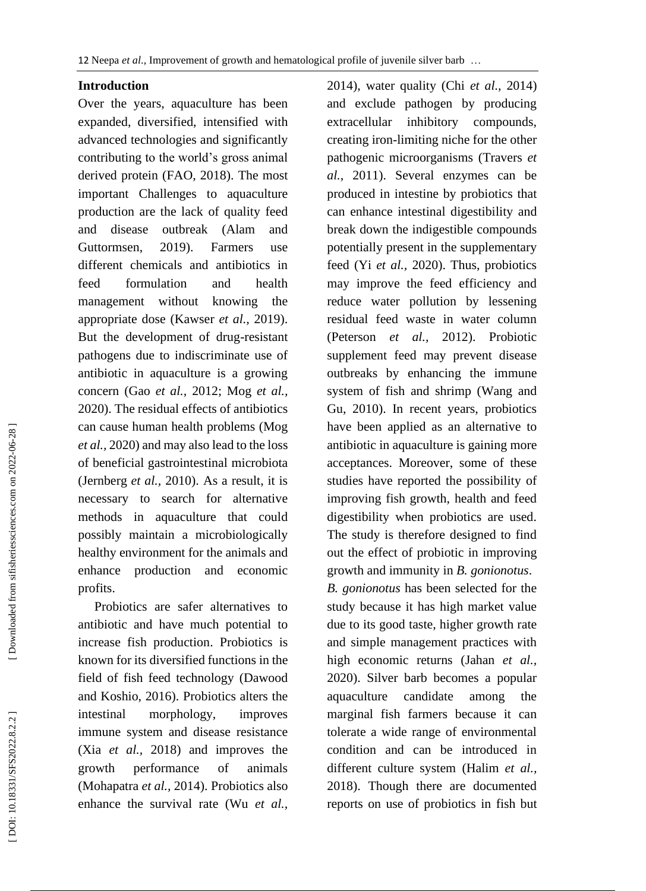## **Introduction**

Over the years, aquaculture has been expanded, diversified, intensified with advanced technologies and significantly contributing to the world's gross animal derived protein (FAO, 2018). The most important Challenges to aquaculture production are the lack of quality feed and disease outbreak (Alam and Guttormsen, 2019). . Farmers use different chemicals and antibiotics in feed formulation and health management without knowing the appropriate dose (Kawser *et al.,* 2019). But the development of drug-resistant pathogens due to indiscriminate use of antibiotic in aquaculture is a growing concern (Gao *et al.,* 2012; Mog *et al.,* 2020 ) . The residual effects of antibiotics can cause human health problems (Mog *et al.,* 2020) and may also lead to the loss of beneficial gastrointestinal microbiota (Jernberg *et al.,* 2010). As a result, it is necessary to search for alternative methods in aquaculture that could possibly maintain a microbiologically healthy environment for the animals and enhance production and economic profits.

 Probiotics are safer alternatives to antibiotic and have much potential to increase fish production . Probiotics is known for its diversified functions in the field of fish feed technology (Dawood and Koshio, 2016). Probiotics alters the intestinal morphology, improves immune system and disease resistance (Xia *et al.,* 2018) and improves the growth performance of animals (Mohapatra *et al.,* 2014). Probiotics also enhance the survival rate (Wu *et al.,*

2014), water quality (Chi *et al.,* 2014) and exclude pathogen by producing extracellular inhibitory compounds, creating iron -limiting niche for the other pathogenic microorganisms (Travers *et al. ,* 2011). Several enzymes can be produced in intestine by probiotics that can enhance intestinal digestibility and break down the indigestible compounds potentially present in the supplementary feed (Yi *et al.,* 2020). Thus, probiotics may improve the feed efficiency and reduce water pollution by lessening residual feed waste in water column (Peterson *et al.,* 2012). Probiotic supplement feed may prevent disease outbreaks by enhancing the immune system of fish and shrimp (Wang and Gu, 2010 ) . In recent years, probiotics have been applied as an alternative to antibiotic in aquaculture is gaining more acceptances. Moreover, some of these studies have reported the possibility of improving fish growth, health and feed digestibility when probiotics are used. The study is therefore designed to find out the effect of probiotic in improving growth and immunit y in *B. gonionotus* . *B. gonionotus* has been selected for the study because it has high market value due to its good taste, higher growth rate and simple management practices with high economic returns (Jahan *et al.,* 2020). Silver barb becomes a popular aquaculture candidate among the marginal fish farmers because it can tolerate a wide range of environmental condition and can be introduced in different culture system (Halim *et al.,* 2018). Though there are documented reports on use of probiotics in fish but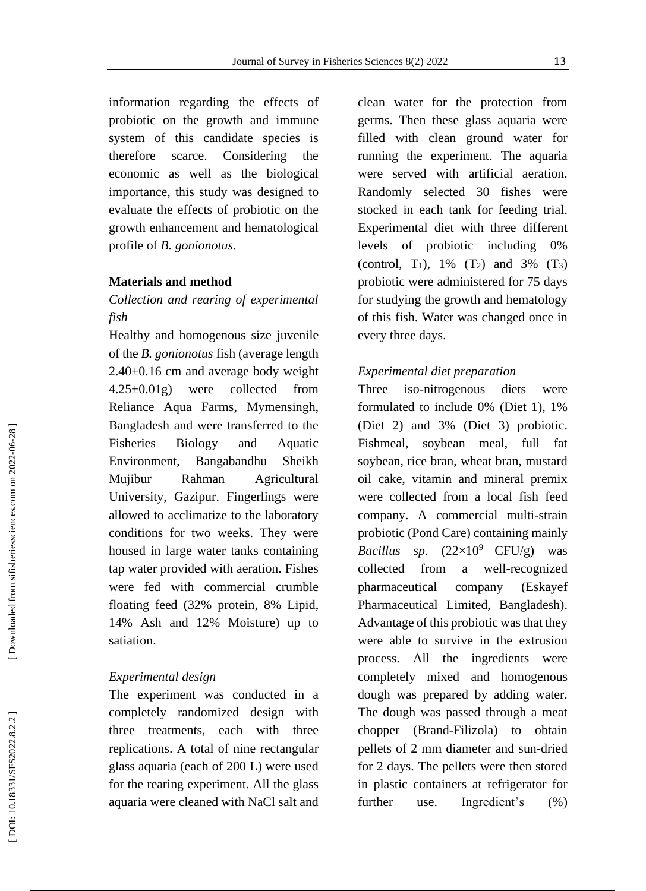information regarding the effects of probiotic on the growth and immune system of this candidate species is therefore scarce. Considering the economic as well as the biological importance, this study was designed to evaluate the effects of probiotic on the growth enhancement and hematological profile of *B. gonionotus .*

#### **Materials and metho d**

# *Collection and rearing of experimental fish*

Healthy and homogenous size juvenile of the *B. gonionotus* fish (average length 2.40±0.16 cm and average body weight  $4.25 \pm 0.01$ g) g) were collected from Reliance Aqua Farms, Mymensingh, Bangladesh and were transferred to the Fisheries Biology and Aquatic Environment, Bangabandhu Sheikh Mujibur Rahman Agricultural University, Gazipur. Fingerlings were allowed to acclimatize to the laboratory conditions for two weeks. They were housed in large water tanks containing tap water provided with aeration. Fishes were fed with commercial crumble floating feed (32% protein, 8% Lipid, 14% Ash and 12% Moisture) up to satiation.

#### *Experimental design*

The experiment was conducted in a completely randomized design with three treatments, each with three replications. A total of nine rectangular glass aquaria (each of 200 L) were used for the rearing experiment. All the glass aquaria were cleaned with NaCl salt and clean water for the protection from germs. Then these glass aquaria were filled with clean ground water for running the experiment. The aquaria were served with artificial aeration. Randomly selected 30 fishes were stocked in each tank for feeding trial. Experimental diet with three different levels of probiotic including 0% (control, T<sub>1</sub>),  $1\%$  (T<sub>2</sub>) and  $3\%$  (T<sub>3</sub>) probiotic were administered for 75 days for studying the growth and hematology of this fish. Water was changed once in every three days.

#### *Experimental diet preparation*

Three iso-nitrogenous diets were formulated to include 0% (Diet 1), 1% (Diet 2) and 3% (Diet 3) probiotic. Fishmeal, soybean meal, full fat soybean, rice bran, wheat bran, mustard oil cake, vitamin and mineral premix were collected from a local fish feed company. A commercial multi-strain probiotic (Pond Care) containing mainly *Bacillus sp.*  $(22\times10^9 \text{ CFU/g})$  was collected from a well-recognized pharmaceutical compan (Eskayef Pharmaceutical Limited, Bangladesh). Advantage of this probiotic was that they were able to survive in the extrusion process. All the ingredients were completely mixed and homogenous dough was prepared by adding water. The dough was passed through a meat chopper (Brand -Filizola) to obtain pellets of 2 mm diameter and sun -dried for 2 days. The pellets were then stored in plastic containers at refrigerator for further use. Ingredient's (%)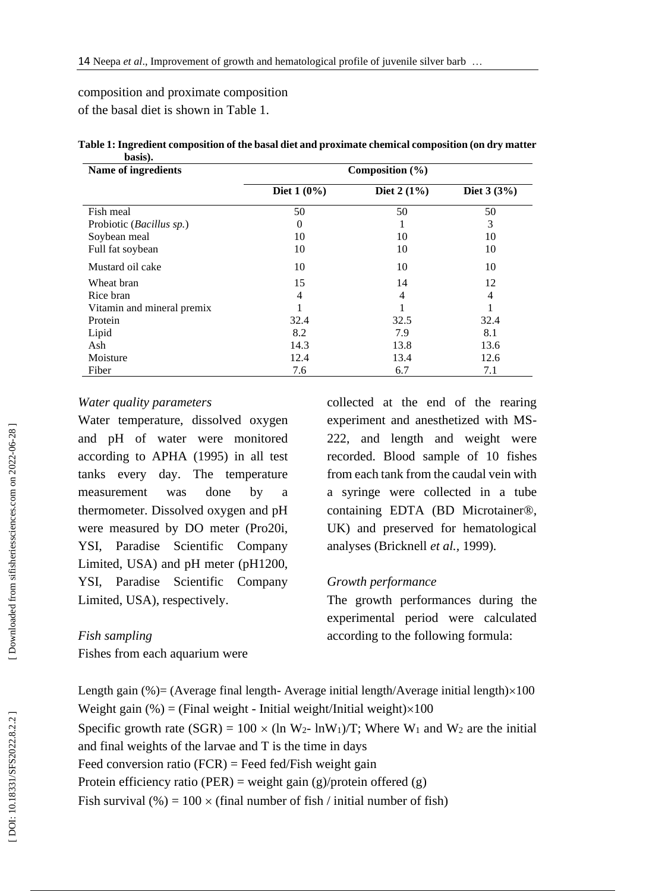composition and proximate composition of the basal diet is shown in Table 1 .

| Name of ingredients        | Composition $(\% )$ |               |              |  |  |
|----------------------------|---------------------|---------------|--------------|--|--|
|                            | Diet $1(0\%)$       | Diet $2(1\%)$ | Diet $3(3%)$ |  |  |
| Fish meal                  | 50                  | 50            | 50           |  |  |
| Probiotic (Bacillus sp.)   | 0                   |               | 3            |  |  |
| Soybean meal               | 10                  | 10            | 10           |  |  |
| Full fat soybean           | 10                  | 10            | 10           |  |  |
| Mustard oil cake           | 10                  | 10            | 10           |  |  |
| Wheat bran                 | 15                  | 14            | 12           |  |  |
| Rice bran                  | 4                   | 4             | 4            |  |  |
| Vitamin and mineral premix |                     |               |              |  |  |
| Protein                    | 32.4                | 32.5          | 32.4         |  |  |
| Lipid                      | 8.2                 | 7.9           | 8.1          |  |  |
| Ash                        | 14.3                | 13.8          | 13.6         |  |  |
| Moisture                   | 12.4                | 13.4          | 12.6         |  |  |
| Fiber                      | 7.6                 | 6.7           | 7.1          |  |  |

**Table 1: Ingredient composition of the basal diet and proximate chemical composition (on dry matter basis).**

## *Water quality parameters*

Water temperature, dissolved oxygen and pH of water were monitored according to APHA (1995) in all test tanks every day. The temperature measurement was done by a thermometer. Dissolved oxygen and pH were measured by DO meter (Pro20i , YSI, Paradise Scientific Company Limited, USA) and pH meter (pH1200, YSI , Paradise Scientific Company Limited, USA), respectively.

collected at the end of the rearing experiment and anesthetized with MS - 222, and length and weight were recorded. Blood sample of 10 fishes from each tank from the caudal vein with a syringe were collected in a tube containing EDTA (BD Microtainer®, UK) and preserved for hematological analys es (Bricknell *et al.,* 1999).

## *Growth performance*

The growth performance s during the experimental period were calculated according to the following formula :

#### *Fish sampling*

Fishes from each aquarium were

Length gain (%)= (Average final length- Average initial length/Average initial length)×100 Weight gain  $(\%)$  = (Final weight - Initial weight/Initial weight) $\times 100$ Specific growth rate (SGR) =  $100 \times (ln W_2 - ln W_1)/T$ ; Where W<sub>1</sub> and W<sub>2</sub> are the initial and final weights of the larvae and T is the time in days Feed conversion ratio  $(FCR)$  = Feed fed/Fish weight gain Protein efficiency ratio (PER) = weight gain (g)/protein offered (g) Fish survival  $%$  = 100  $\times$  (final number of fish / initial number of fish)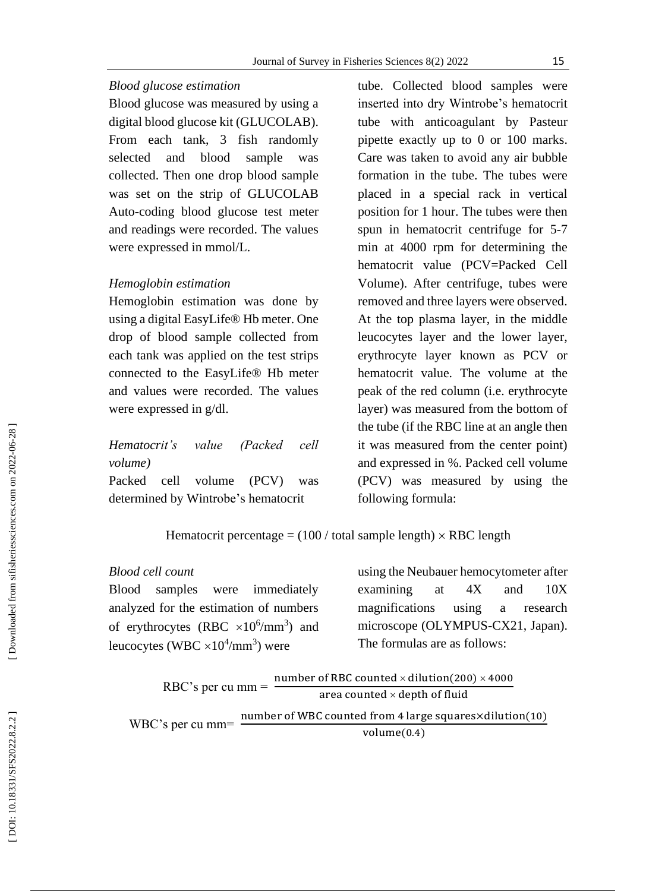## *Blood glucose estimation*

Blood glucose was measured by using a digital blood glucose kit (GLUCOLAB). From each tank , 3 fish randomly selected and blood sample was collected. Then one drop blood sample was set on the strip of GLUCOLAB Auto -coding blood glucose test meter and readings were recorded. The values were expressed in mmol/L.

## *Hemoglobin estimation*

Hemoglobin estimation was done by using a digital EasyLife® Hb meter. One drop of blood sample collected from each tank was applied on the test strips connected to the EasyLife® Hb meter and values were recorded. The values were expressed in g/dl.

*Hematocrit's value (Packed cell volume)*

Packed cell volume (PCV) was determined by Wintrobe's hematocrit

tube. Collected blood samples were inserted into dry Wintrobe's hematocrit tube with anticoagulant by Pasteur pipette exactly up to 0 or 100 mark s. Care was taken to avoid any air bubble formation in the tube. The tubes were placed in a special rack in vertical position for 1 hour. The tubes were then spun in hematocrit centrifuge for 5 -7 min at 4000 rpm for determining the hematocrit value (PCV=Packed Cell Volume). After centrifuge, tubes were removed and three layers were observed. At the top plasma layer, in the middle leucocytes layer and the lower layer, erythrocyte layer known as PCV or hematocrit value. The volume at the peak of the red column (i.e. erythrocyte layer) was measured from the bottom of the tube (if the RBC line at an angle then it was measured from the center point) and expressed in %. Packed cell volume (PCV) was measured by using the following formula:

Hematocrit percentage =  $(100 / \text{total sample length}) \times RBC$  length

## *Blood cell count*

Blood samples were immediately analyzed for the estimation of numbers of erythrocytes (RBC  $\times 10^6/\text{mm}^3$ ) and leucocytes (WBC  $\times 10^4/\text{mm}^3$ ) were

using the Neubauer hemocytometer after examining at 4X and 10X magnifications using a research microscope (OLYMPUS -CX21, Japan). The formulas are as follows :

```
RBC's per cu mm = 
                              number of RBC counted \times dilution(200) \times 4000
                                       area counted \times depth of fluid
WBC's per cu mm= 
                       number of WBC counted from
4 large squares
×dilution
(10
)
                                                volume
(
0.4
)
```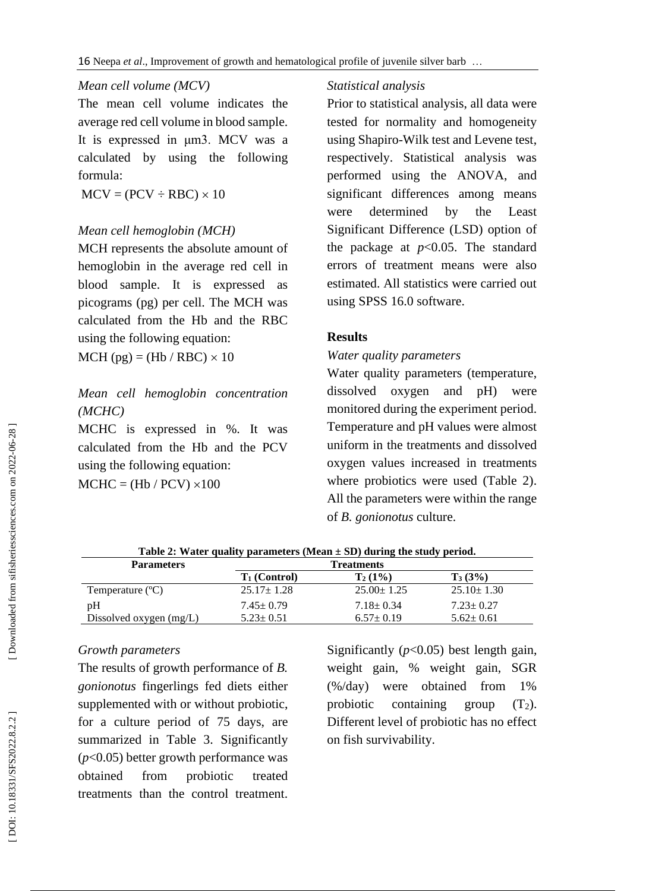## *Mean cell volume (MCV)*

The mean cell volume indicates the average red cell volume in blood sample. It is expressed in μm3. MCV was a calculated by using the following formula:

 $MCV = (PCV \div RBC) \times 10$ 

## *Mean cell hemoglobin (MCH)*

MCH represents the absolute amount of hemoglobin in the average red cell in blood sample. It is expressed as picograms (pg) per cell. The MCH was calculated from the Hb and the RBC using the following equation:

 $MCH (pg) = (Hb / RBC) \times 10$ 

# *Mean cell hemoglobin concentration (MCHC)*

MCHC is expressed in %. It was calculated from the Hb and the PCV using the following equation :  $MCHC = (Hb / PCV) \times 100$ 

# *Statistical analysis*

Prior to statistical analysis, all data were tested for normality and homogeneity using Shapiro -Wilk test and Levene test, respectively. Statistical analysis was performed using the ANOVA, and significant differences among means were determined by the Least Significant Difference (LSD) option of the package at  $p<0.05$ . The standard errors of treatment means were also estimated. All statistics were carried out using SPSS 16.0 software .

# **Results**

# *Water quality parameters*

Water quality parameters (temperature, dissolved oxygen and pH) were monitored during the experiment period. Temperature and pH values were almost uniform in the treatment s and dissolved oxygen values increased in treatments where probiotics were used (Table 2). All the parameters were within the range of *B. gonionotus* culture.

| <b>Parameters</b>       | <b>Treatments</b> |                  |                  |  |
|-------------------------|-------------------|------------------|------------------|--|
|                         | $T_1$ (Control)   | $T_2(1\%)$       | $T_3(3\%)$       |  |
| Temperature (°C)        | $25.17 \pm 1.28$  | $25.00 \pm 1.25$ | $25.10 \pm 1.30$ |  |
| pH                      | $7.45 \pm 0.79$   | $7.18 \pm 0.34$  | $7.23 \pm 0.27$  |  |
| Dissolved oxygen (mg/L) | $5.23 \pm 0.51$   | $6.57 \pm 0.19$  | $5.62 \pm 0.61$  |  |

**Table 2 : Water quality parameters (Mean ± SD) during the study period.**

# *Growth parameters*

The results of growth performance of *B. gonionotus* fingerlings fed diets either supplemented with or without probiotic, for a culture period of 7 5 days, are summarized in Table 3 . Significantly (*p*<0.05) better growth performance was obtained from probiotic treated treatment s than the control treatment .

Significantly  $(p<0.05)$  best length gain, weight gain, % weight gain, SGR (%/day) were obtained from 1% probiotic containing group  $(T_2)$ . Different level of probiotic has no effect on fish survivability.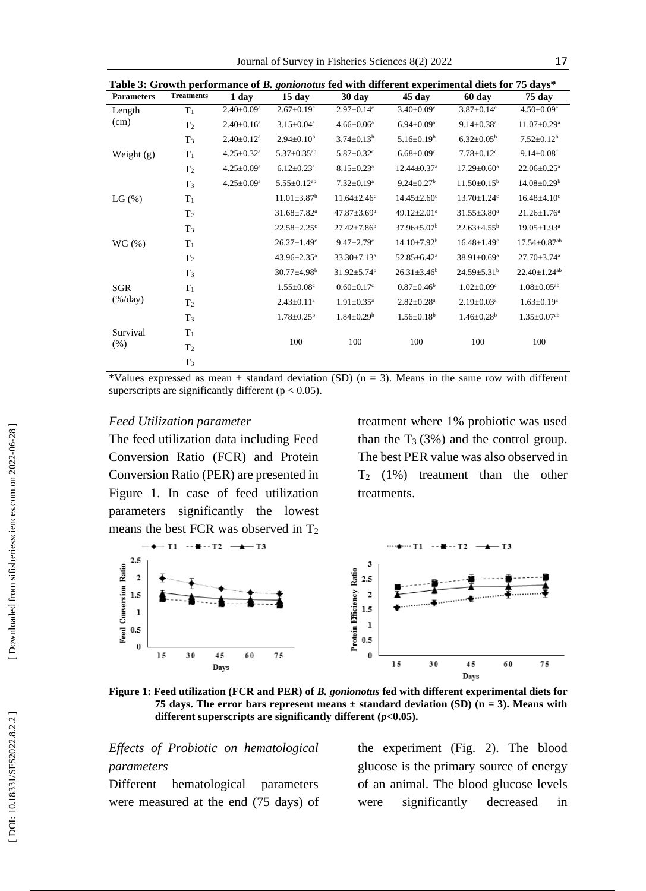| Table 3: Growth performance of B. gonionotus fed with different experimental diets for 75 days* |                   |                              |                               |                               |                               |                               |                                |  |  |
|-------------------------------------------------------------------------------------------------|-------------------|------------------------------|-------------------------------|-------------------------------|-------------------------------|-------------------------------|--------------------------------|--|--|
| <b>Parameters</b>                                                                               | <b>Treatments</b> | 1 day                        | 15 day                        | $30 \text{ day}$              | 45 day                        | 60 day                        | 75 day                         |  |  |
| Length<br>(cm)                                                                                  | $T_1$             | $2.40 \pm 0.09^a$            | $2.67 \pm 0.19$ <sup>c</sup>  | $2.97 \pm 0.14$ c             | $3.40 \pm 0.09$ <sup>c</sup>  | $3.87 \pm 0.14$ c             | $4.50 \pm 0.09$ <sup>c</sup>   |  |  |
|                                                                                                 | T <sub>2</sub>    | $2.40 \pm 0.16^a$            | $3.15 \pm 0.04^a$             | $4.66 \pm 0.06^a$             | $6.94 \pm 0.09^{\mathrm{a}}$  | $9.14 \pm 0.38$ <sup>a</sup>  | $11.07 \pm 0.29$ <sup>a</sup>  |  |  |
|                                                                                                 | $T_3$             | $2.40 \pm 0.12^a$            | $2.94 \pm 0.10^b$             | $3.74 \pm 0.13^b$             | $5.16 \pm 0.19^b$             | $6.32 \pm 0.05^{\rm b}$       | $7.52 \pm 0.12^b$              |  |  |
| Weight (g)                                                                                      | $T_1$             | $4.25 \pm 0.32$ <sup>a</sup> | $5.37 \pm 0.35$ <sup>ab</sup> | $5.87 \pm 0.32$ <sup>c</sup>  | $6.68 \pm 0.09$ <sup>c</sup>  | $7.78 \pm 0.12$ <sup>c</sup>  | $9.14 \pm 0.08$ <sup>c</sup>   |  |  |
|                                                                                                 | T <sub>2</sub>    | $4.25 \pm 0.09^a$            | $6.12 \pm 0.23$ <sup>a</sup>  | $8.15 \pm 0.23$ <sup>a</sup>  | $12.44 \pm 0.37$ <sup>a</sup> | $17.29 \pm 0.60^{\mathrm{a}}$ | $22.06 \pm 0.25$ <sup>a</sup>  |  |  |
|                                                                                                 | $T_3$             | $4.25 \pm 0.09^{\mathrm{a}}$ | $5.55 \pm 0.12^{ab}$          | $7.32 \pm 0.19^a$             | $9.24 \pm 0.27$ <sup>b</sup>  | $11.50 \pm 0.15^b$            | $14.08 \pm 0.29^b$             |  |  |
| $LG(\% )$                                                                                       | $T_1$             |                              | $11.01 \pm 3.87$ <sup>b</sup> | $11.64 \pm 2.46$ c            | $14.45 \pm 2.60$ <sup>c</sup> | $13.70 \pm 1.24$ <sup>c</sup> | $16.48{\pm}4.10^c$             |  |  |
|                                                                                                 | T <sub>2</sub>    |                              | $31.68 \pm 7.82^a$            | $47.87 \pm 3.69^{\mathrm{a}}$ | 49.12±2.01 <sup>a</sup>       | $31.55 \pm 3.80^a$            | $21.26 \pm 1.76^a$             |  |  |
|                                                                                                 | $T_3$             |                              | $22.58 \pm 2.25$ c            | $27.42 \pm 7.86^b$            | $37.96 \pm 5.07^{\rm b}$      | $22.63 \pm 4.55^b$            | $19.05 \pm 1.93$ <sup>a</sup>  |  |  |
| $WG(\%)$                                                                                        | $T_1$             |                              | $26.27 \pm 1.49$ <sup>c</sup> | $9.47 \pm 2.79$ <sup>c</sup>  | $14.10{\pm}7.92^b$            | $16.48 \pm 1.49$ <sup>c</sup> | $17.54 \pm 0.87$ <sup>ab</sup> |  |  |
|                                                                                                 | T <sub>2</sub>    |                              | $43.96 \pm 2.35^{\text{a}}$   | $33.30 \pm 7.13^a$            | 52.85±6.42 <sup>a</sup>       | 38.91±0.69 <sup>a</sup>       | $27.70 \pm 3.74$ <sup>a</sup>  |  |  |
|                                                                                                 | $T_3$             |                              | $30.77 \pm 4.98$ <sup>b</sup> | $31.92 \pm 5.74^b$            | $26.31 \pm 3.46^b$            | $24.59 \pm 5.31^b$            | $22.40 \pm 1.24$ <sup>ab</sup> |  |  |
| SGR<br>$(\frac{6}{day})$                                                                        | $T_1$             |                              | $1.55 \pm 0.08$ <sup>c</sup>  | $0.60 \pm 0.17$ <sup>c</sup>  | $0.87 \pm 0.46^b$             | $1.02 \pm 0.09$ <sup>c</sup>  | $1.08 \pm 0.05$ <sup>ab</sup>  |  |  |
|                                                                                                 | T <sub>2</sub>    |                              | $2.43 \pm 0.11$ <sup>a</sup>  | $1.91 \pm 0.35$ <sup>a</sup>  | $2.82 \pm 0.28$ <sup>a</sup>  | $2.19 \pm 0.03$ <sup>a</sup>  | $1.63 \pm 0.19^a$              |  |  |
|                                                                                                 | T <sub>3</sub>    |                              | $1.78 \pm 0.25^{\rm b}$       | $1.84 \pm 0.29^b$             | $1.56 \pm 0.18^b$             | $1.46 \pm 0.28$ <sup>b</sup>  | $1.35 \pm 0.07$ <sup>ab</sup>  |  |  |
| Survival<br>(% )                                                                                | $T_1$             |                              | 100                           |                               | 100                           | 100                           | 100                            |  |  |
|                                                                                                 | T <sub>2</sub>    |                              |                               | 100                           |                               |                               |                                |  |  |
|                                                                                                 | $T_3$             |                              |                               |                               |                               |                               |                                |  |  |

\*Values expressed as mean  $\pm$  standard deviation (SD) (n = 3). Means in the same row with different superscripts are significantly different ( $p < 0.05$ ).

#### *Feed Utilization parameter*

The feed utilization data including Feed Conversion Ratio (FCR) and Protein Conversion Ratio (PER) are presented in Figure 1. In case of feed utilization parameters significantly the lowest means the best FCR was observed in T 2

treatment where 1% probiotic was used than the  $T_3$  (3%) and the control group. The best PER value was also observed in T<sup>2</sup> (1%) treatment than the other treatments .



**Figure 1: Feed utilization (FCR and PER) of** *B. gonionotus* **fed with different experimental diets for 75 days. The error bars represent means**  $\pm$  **standard deviation (SD) (n = 3). Means with different superscripts are significantly different (***p***<0.05).**

*Effects of Probiotic on hematological parameters*

Different hematological parameters were measured at the end ( 7 5 days) of

the experiment (Fig . 2). The blood glucose is the primary source of energy of an animal. The blood glucose levels were significantly decreased in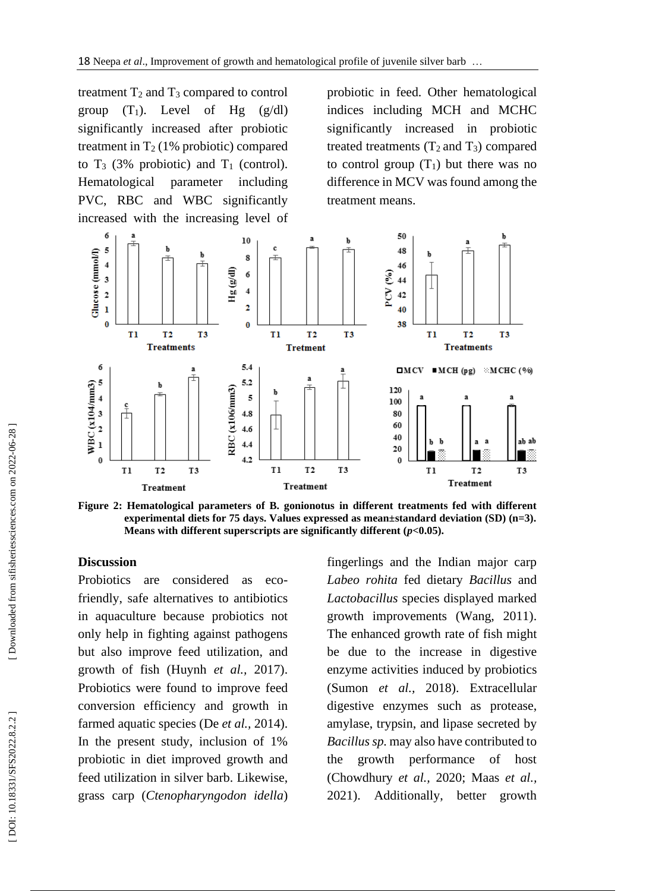treatment T <sup>2</sup> and T <sup>3</sup> compared to control group  $(T_1)$ . Level of Hg  $(g/dl)$ significantly increased after probiotic treatment in  $T_2$  (1% probiotic) compared to  $T_3$  (3% probiotic) and  $T_1$  (control). Hematological parameter including PVC, RBC and WBC significantly increased with the increasing level of

probiotic in feed. Other hematological indices including MCH and MCHC significantly increased in probiotic treated treatments  $(T_2 \text{ and } T_3)$  compared to control group  $(T_1)$  but there was no difference in MCV was found among the treatment means .



**Figure 2 : Hematological parameters of B. gonionotus in different treatments fed with different experimental diets for 75 days. Values expressed as mean±standard deviation (SD) (n=3). Means with different superscripts are significantly different (***p***<0.05).**

## **Discussion**

Probiotics are considered as ecofriendly, safe alternatives to antibiotics in aquaculture because probiotics not only help in fighting against pathogens but also improve feed utilization, and growth of fish (Huynh *et al.,* 2017). Probiotics were found to improve feed conversion efficiency and growth in farmed aquatic species (De *et al.*, 2014). In the present study, inclusion of 1% probiotic in diet improved growth and feed utilization in silver barb. Likewise, grass carp (*Ctenopharyngodon idella*) fingerlings and the Indian major carp *Labeo rohita* fed dietary *Bacillus* and *Lactobacillus* species displayed marked growth improvements (Wang, 2011). The enhanced growth rate of fish might be due to the increase in digestive enzyme activities induced by probiotics (Sumon *et al.,* 2018). Extracellular digestive enzymes such as protease, amylase, trypsin, and lipase secreted by *Bacillus sp.* may also have contributed to the growth performance of host (Chowdhury *et al.,* 2020; Maas *et al.,* 20 2 1). Additionally, better growth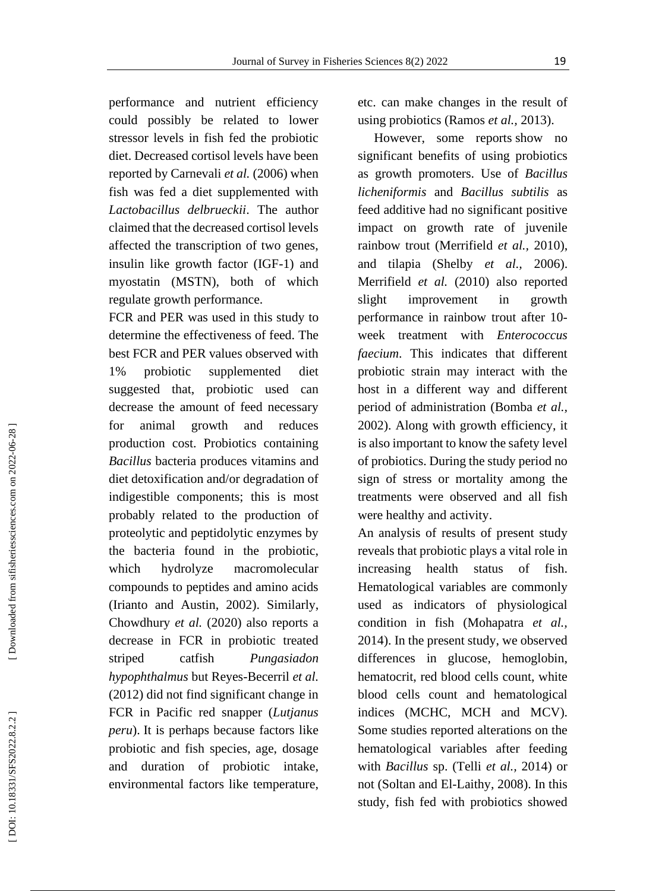performance and nutrient efficiency could possibly be related to lower stressor levels in fish fed the probiotic diet. Decreased cortisol levels have been reported by Carnevali *et al.* (2006) when fish was fed a diet supplemented with *Lactobacillus delbrueckii*. The author claimed that the decreased cortisol levels affected the transcription of two genes, insulin like growth factor (IGF -1) and myostatin (MSTN), both of which regulate growth performance.

FCR and PER was used in this study to determine the effectiveness of feed. The best FCR and PER values observed with 1% probiotic supplemented diet suggested that , probiotic used can decrease the amount of feed necessary for animal growth and reduces production cost. Probiotics containing *Bacillus* bacteria produces vitamins and diet detoxification and/or degradation of indigestible components; this is most probably related to the production of proteolytic and peptidolytic enzymes by the bacteria found in the probiotic, which hydrolyze macromolecular compounds to peptides and amino acids (Irianto and Austin, 2002). Similarly, Chowdhury *et al.* (2020) also reports a decrease in FCR in probiotic treated striped catfish *Pungasiadon hypophthalmus* but Reyes -Becerril *et al .* (2012 ) did not find significant change in FCR in Pacific red snapper (*Lutjanus peru* ) . It is perhaps because factors like probiotic and fish species, age, dosage and duration of probiotic intake, environmental factors like temperature,

etc. can make changes in the result of using probiotics (Ramos *et al.,* 2013).

 However, some reports show no significant benefits of using probiotics as growth promoters. Use of *Bacillus licheniformis* and *Bacillus subtilis* as feed additive had no significant positive impact on growth rate of juvenile rainbow trout (Merrifield *et al.,* 2010 ), and tilapia (Shelby *et al.,* 2006). Merrifield *et al.* (2010) also reported slight improvement in growth performance in rainbow trout after 10 week treatment with *Enterococcus faecium*. This indicates that different probiotic strain may interact with the host in a different way and different period of administration (Bomba *et al.,* 2002 ). Along with growth efficiency, it is also important to know the safety level of probiotics. During the study period no sign of stress or mortality among the treatments were observed and all fish were healthy and activity.

An analysis of results of present study reveals that probiotic plays a vital role in increasing health status of fish. Hematological variables are commonly used as indicators of physiological condition in fish (Mohapatra *et al.,* 2014). In the present study, we observed differences in glucose, hemoglobin, hematocrit, red blood cells count, white blood cells count and hematological indices (MCHC, MCH and MCV). Some studies reported alterations on the hematological variables after feeding with *Bacillus* sp. (Telli *et al.,* 2014) or not (Soltan and El -Laithy, 2008). In this study, fish fed with probiotics showed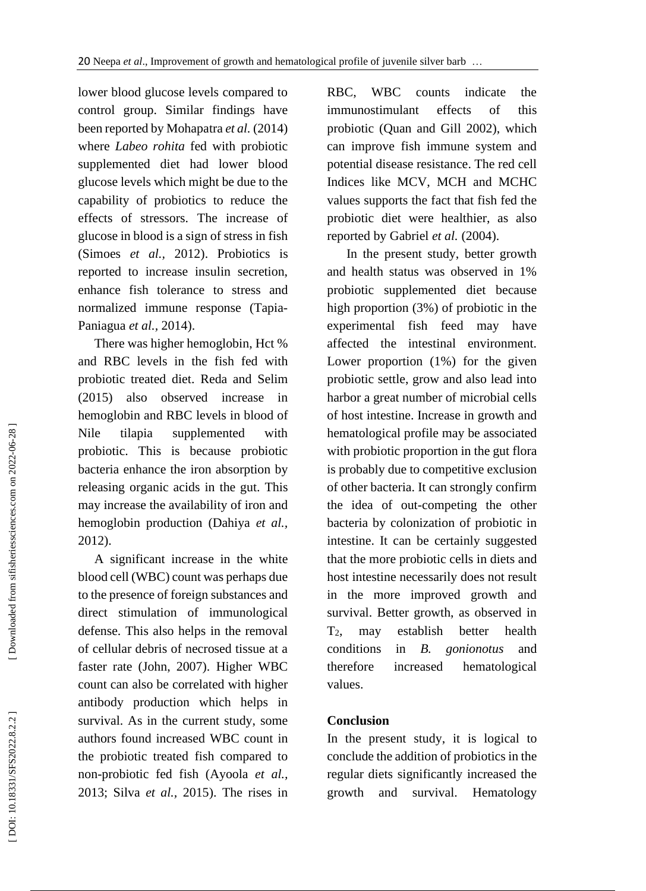lower blood glucose levels compared to control group. Similar findings have been reported by Mohapatra *et al.* (2014) where *Labeo rohita* fed with probiotic supplemented diet had lower blood glucose levels which might be due to the capability of probiotics to reduce the effects of stressors. The increase of glucose in blood is a sign of stress in fish (Simoes *et al.,* 2012). Probiotics is reported to increase insulin secretion, enhance fish tolerance to stress and normalized immune response (Tapia - Paniagua *et al.,* 2014).

There was higher hemoglobin, Hct % and RBC levels in the fish fed with probiotic treated diet. Reda and Selim (2015) also observed increase in hemoglobin and RBC levels in blood of Nile tilapia supplemented with probiotic. This is because probiotic bacteria enhance the iron absorption by releasing organic acids in the gut. This may increase the availability of iron and hemoglobin production (Dahiya *et al.,* 2012).

 A significant increase in the white blood cell (WBC) count was perhaps due to the presence of foreign substances and direct stimulation of immunological defense. This also helps in the removal of cellular debris of necrosed tissue at a faster rate (John, 2007). Higher WBC count can also be correlated with higher antibody production which helps in survival. As in the current study, some authors found increased WBC count in the probiotic treated fish compared to non -probiotic fed fish (Ayo ola *et al.,* 2013; Silva *et al.,* 2015). The rises in

RBC, WBC counts indicate the immunostimulant effects of this probiotic (Quan and Gill 2002), which can improve fish immune system and potential disease resistance . The red cell Indices like MCV, MCH and MCHC values supports the fact that fish fed the probiotic diet were healthier, as also reported by Gabriel et al. (2004).

 In the present study, better growth and health status was observed in 1% probiotic supplemented diet because high proportion (3%) of probiotic in the experimental fish feed may have affected the intestinal environment. Lower proportion  $(1%)$  for the given probiotic settle, grow and also lead into harbor a great number of microbial cells of host intestine. Increase in growth and hematological profile may be associated with probiotic proportion in the gut flora is probably due to competitive exclusion of other bacteria. It can strongly confirm the idea of out -competing the other bacteria by colonization of probiotic in intestine. It can be certainly suggested that the more probiotic cells in diets and host intestine necessarily does not result in the more improved growth and survival. Better growth, as observed in  $T_2$ , may establish better health conditions in *B. gonionotus* and therefore increased hematological values.

# **Conclusio n**

In the present study, it is logical to conclude the addition of probiotics in the regular diets significantly increased the growth and survival. Hematology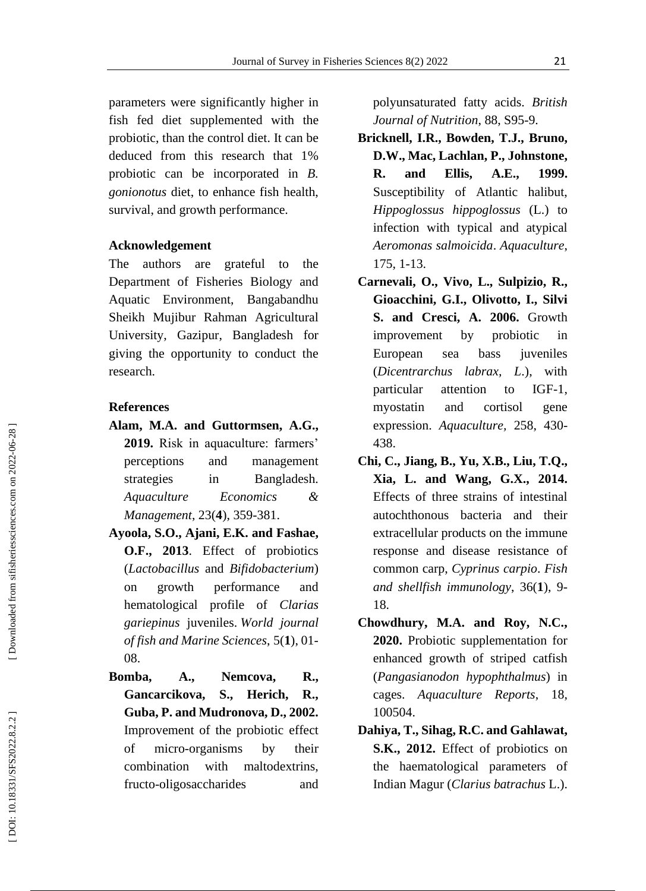parameters were significantly higher in fish fed diet supplemented with the probiotic, than the control diet. It can be deduced from this research that 1% probiotic can be incorporated in *B. gonionotus* diet, to enhance fish health, survival, and growth performance.

#### **Acknowledgement**

The authors are grateful to the Department of Fisheries Biology and Aquatic Environment, Bangabandhu Sheikh Mujibur Rahman Agricultural University, Gazipur, Bangladesh for giving the opportunity to conduct the research.

#### **References**

- **Alam, M.A. and Guttormsen, A.G., 2019.** Risk in aquaculture: farmers' perceptions and management strategies in Bangladesh. *Aquaculture Economics & Management*, 23( **4**), 359 -381.
- **Ayoola, S.O., Ajani, E.K. and Fashae, O.F., <sup>2013</sup>**. Effect of probiotics (*Lactobacillus* and *Bifidobacterium*) on growth performance and hematological profile of *Clarias gariepinus* juveniles. *World journal of fish and Marine Sciences* , 5 ( **1**), 01 - 08.
- **Bomba, A., Nemcova, R., Gancarcikova, S., Herich, R., Guba, P. and Mudronova, D., 2002.** Improvement of the probiotic effect of micro -organisms by their combination with maltodextrins, fructo -oligosaccharides and

polyunsaturated fatty acids. *British*  Journal of Nutrition, 88, S95-9.

- **Bricknell, I.R., Bowden, T.J., Bruno, D.W., Mac, Lachlan, P., Johnstone, R. and Ellis, A.E., 1999.** Susceptibility of Atlantic halibut, *Hippoglossus hippoglossus* (L.) to infection with typical and atypical *Aeromonas salmoicida*. *Aquaculture*, 175, 1 -13.
- **Carnevali, O., Vivo, L., Sulpizio, R., Gioacchini, G.I., Olivotto, I., Silvi S. and Cresci, A. 2006.** Growth improvement by probiotic in European sea bass juveniles (*Dicentrarchus labrax, L*.), with particular attention to IGF-1. myostatin and cortisol gene expression. *Aquaculture,* 258, 430 - 438.
- **Chi, C., Jiang, B., Yu, X.B., Liu, T.Q., Xia, L. and Wang, G.X., 2014.** Effects of three strains of intestinal autochthonous bacteria and their extracellular products on the immune response and disease resistance of common carp, *Cyprinus carpio*. *Fish and shellfish immunology*, 36( **1**), 9 - 18.
- **Chowdhury, M.A. and Roy, N.C., 2020.** Probiotic supplementation for enhanced growth of striped catfish (*Pangasianodon hypophthalmus*) in cages. *Aquaculture Reports*, 18, 100504.
- **Dahiya, T., Sihag, R.C. and Gahlawat, S.K., 2012.** Effect of probiotics on the haematological parameters of Indian Magur (*Clarius batrachus* L.).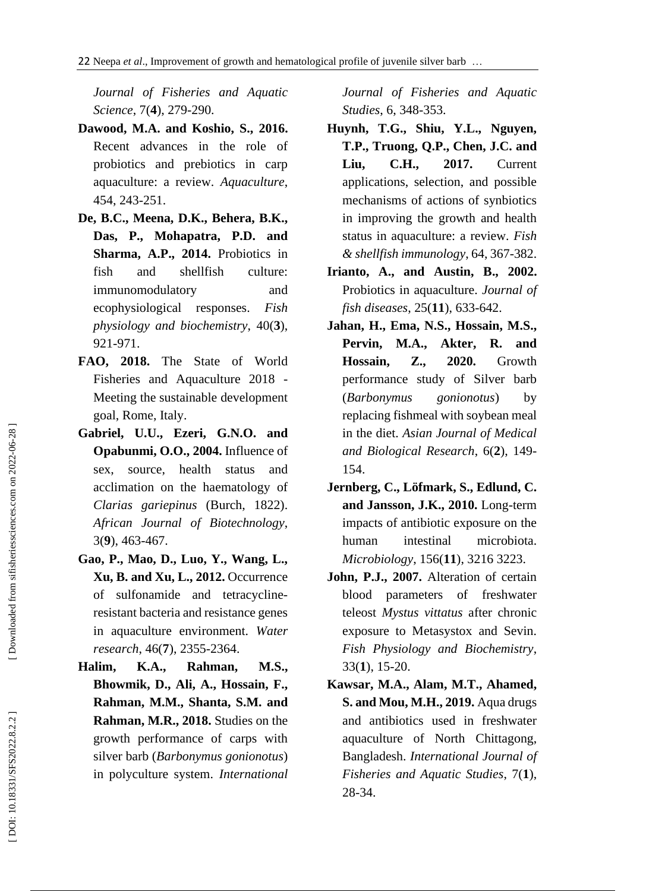*Journal of Fisheries and Aquatic Science*, 7( **4**), 279 -290.

- **Dawood, M.A. and Koshio, S., 2016.** Recent advances in the role of probiotics and prebiotics in carp aquaculture: a review. *Aquaculture*, 454, 243 -251.
- **De, B.C., Meena, D.K., Behera, B.K., Das, P., Mohapatra, P.D. and Sharma, A.P., 2014.** Probiotics in fish and shellfish culture: immunomodulatory and ecophysiological responses. *Fish physiology and biochemistry*, 40( **3**), 921 -971.
- **FAO , 2018.** The State of World Fisheries and Aquaculture 2018 - Meeting the sustainable development goal, Rome, Italy.
- **Gabriel, U.U., Ezeri, G.N.O. and Opabunmi, O.O., 2004.** Influence of sex, source, health status and acclimation on the haematology of *Clarias gariepinus* (Burch, 1822). *African Journal of Biotechnology*, 3( **9**), 463 -467.
- **Gao, P., Mao, D., Luo, Y., Wang, L., Xu, B. and Xu, L., 2012.** Occurrence of sulfonamide and tetracycline resistant bacteria and resistance genes in aquaculture environment. *Water research*, 46( **7**), 2355 -2364.
- **Halim, K.A., Rahman, M.S., Bhowmik, D., Ali, A., Hossain, F., Rahman, M.M., Shanta, S.M. and Rahman, M.R., 2018.** Studies on the growth performance of carps with silver barb (*Barbonymus gonionotus*) in polyculture system. *International*

*Journal of Fisheries and Aquatic Studies*, 6, 348 -353.

- **Huynh, T.G., Shiu, Y.L., Nguyen, T.P., Truong, Q.P., Chen, J.C. and Liu, C.H., 2017.** Current applications, selection, and possible mechanisms of actions of synbiotics in improving the growth and health status in aquaculture: a review. *Fish & shellfish immunology*, 64, 367 -382.
- **Irianto, A., and Austin, B . , 2002.** Probiotics in aquaculture. *Journal of fish diseases*, 25(**11**), 633 -642.
- **Jahan, H., Ema, N.S., Hossain, M.S., Pervin, M.A., Akter, R. and Hossain, Z., 2020.** Growth performance study of Silver barb (*Barbonymus gonionotus*) by replacing fishmeal with soybean meal in the diet. *Asian Journal of Medical and Biological Research*, 6( **2**), 149 - 154.
- **Jernberg, C., Löfmark, S., Edlund, C. and Jansson, J.K., 2010.** Long -term impacts of antibiotic exposure on the human intestinal microbiota. *Microbiology*, 156(**11**), 3216 3223.
- **John, P.J., 2007.** Alteration of certain blood parameters of freshwater teleost *Mystus vittatus* after chronic exposure to Metasystox and Sevin. *Fish Physiology and Biochemistry*, 33( **1**), 15 -20.
- **Kawsar, M.A., Alam, M.T., Ahamed, S. and Mou, M.H., 2019.** Aqua drugs and antibiotics used in freshwater aquaculture of North Chittagong, Bangladesh. *International Journal of Fisheries and Aquatic Studies*, 7( **1**), 28 -34.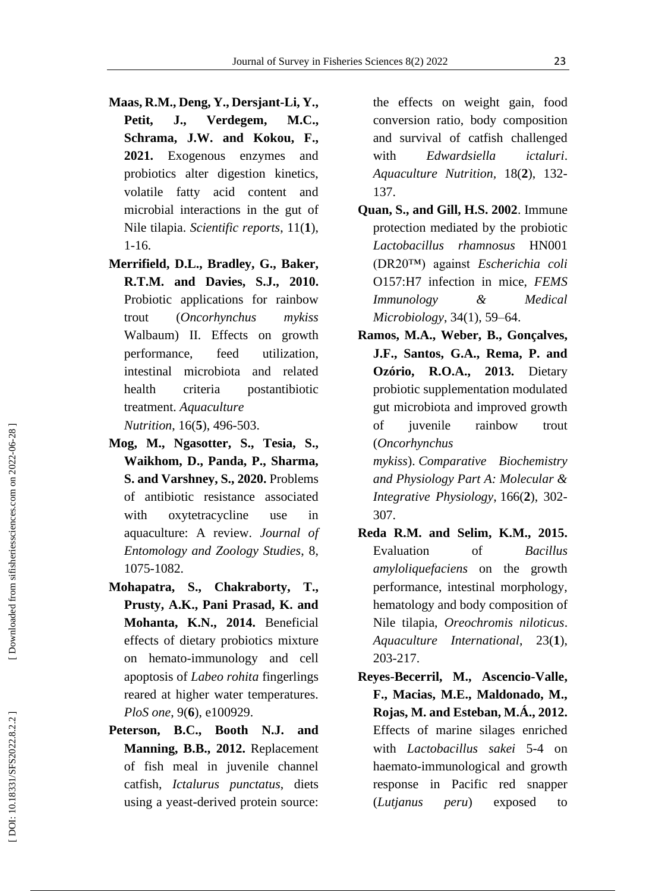- **Maas, R.M., Deng, Y., Dersjant -Li, Y., Petit, J., Verdegem, M.C., Schrama, J.W. and Kokou, F., 2021.** Exogenous enzymes and probiotics alter digestion kinetics, volatile fatty acid content and microbial interactions in the gut of Nile tilapia. *Scientific reports*, 11( **1**), 1 -16.
- **Merrifield, D.L., Bradley, G., Baker, R.T.M. and Davies, S.J., 2010.** Probiotic applications for rainbow trout (*Oncorhynchus mykiss* Walbaum) II. Effects on growth performance, feed utilization, intestinal microbiota and related health criteria postantibiotic treatment. *Aquaculture Nutrition* , 16 ( **5**), 496 -503.
- **Mog, M., Ngasotter, S., Tesia, S., Waikhom, D., Panda, P., Sharma, S. and Varshney, S., 2020.** Problems of antibiotic resistance associated with oxytetracycline use in aquaculture: A review. *Journal of Entomology and Zoology Studies*, 8, 1075 -1082.
- **Mohapatra, S., Chakraborty, T., Prusty, A.K., Pani Prasad, K. and Mohanta, K.N., 2014.** Beneficial effects of dietary probiotics mixture on hemato -immunology and cell apoptosis of *Labeo rohita* fingerlings reared at higher water temperatures. *PloS one*, 9( **6**), e100929.
- **Peterson, B.C., Booth N.J. and Manning, B.B., 2012.** Replacement of fish meal in juvenile channel catfish, *Ictalurus punctatus*, diets using a yeast -derived protein source:

the effects on weight gain, food conversion ratio, body composition and survival of catfish challenged with *Edwardsiella ictaluri*. *Aquaculture Nutrition,* 18( **2**), 132 - 137.

- **Quan, S., and Gill, H.S. 2002**. Immune protection mediated by the probiotic *Lactobacillus rhamnosus* HN001 (DR20™) against *Escherichia coli* O157:H7 infection in mice, *FEMS Immunology & Medical Microbiology*, 34(1), 59 –64.
- **Ramos, M.A., Weber, B., Gonçalves, J.F., Santos, G.A., Rema, P. and Ozório, R.O.A., 2013.** Dietary probiotic supplementation modulated gut microbiota and improved growth of juvenile rainbow trout (*Oncorhynchus*

*mykiss*). *Comparative Biochemistry and Physiology Part A: Molecular & Integrative Physiology* , 166 ( **2**), 302 - 307.

- **Reda R.M. and Selim, K.M., 2015.** Evaluation of *Bacillus amyloliquefaciens* on the growth performance, intestinal morphology, hematology and body composition of Nile tilapia, *Oreochromis niloticus*. *Aquaculture International* , 23( **1**), 203 -217.
- **Reyes -Becerril, M., Ascencio -Valle, F., Macias, M.E., Maldonado, M., Rojas, M. and Esteban, M.Á., 2012.** Effects of marine silages enriched with *Lactobacillus sakei* 5 -4 on haemato -immunological and growth response in Pacific red snapper (*Lutjanus peru*) exposed to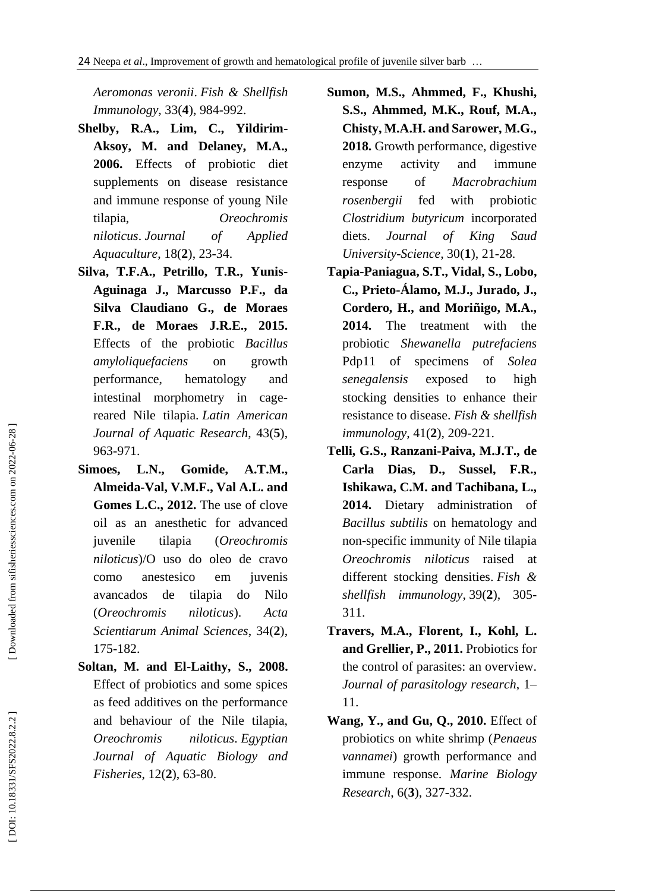*Aeromonas veronii* . *Fish & Shellfish Immunology* , 33 ( **4**), 984 -992.

- **Shelby, R.A., Lim, C., Yildirim - Aksoy, M. and Delaney, M.A., 2006.** Effects of probiotic diet supplements on disease resistance and immune response of young Nile tilapia, *Oreochromis niloticus* . *Journal of Applied Aquaculture* , 18 ( **2**), 23 -34.
- **Silva, T.F.A., Petrillo, T.R., Yunis - Aguinaga J., Marcusso P.F., da Silva Claudiano G., de Moraes F.R., de Moraes J.R.E., 2015.** Effects of the probiotic *Bacillus amyloliquefaciens* on growth performance, hematology and intestinal morphometry in cage reared Nile tilapia. *Latin American Journal of Aquatic Research*, 43 ( **5**), 963 -971.
- **Simoes, L.N., Gomide, A.T.M., Almeida -Val, V.M.F., Val A.L. and Gomes L.C., 2012.** The use of clove oil as an anesthetic for advanced juvenile tilapia (*Oreochromis niloticus*)/O uso do oleo de cravo como anestesico em juvenis avancados de tilapia do Nilo (*Oreochromis niloticus*). *Acta Scientiarum Animal Sciences*, 34( **2**), 175 -182.
- **Soltan, M. and El - Laithy, S., 2008.** Effect of probiotics and some spices as feed additives on the performance and behaviour of the Nile tilapia, *Oreochromis* . *Egyptian Journal of Aquatic Biology and Fisheries*, 12 ( **2**), 63 -80.
- **Sumon, M.S., Ahmmed, F., Khushi, S.S., Ahmmed, M.K., Rouf, M.A., Chisty, M.A.H. and Sarower, M.G., 2018.** Growth performance, digestive enzyme activity and immune response of *Macrobrachium rosenbergii* fed with probiotic *Clostridium butyricum* incorporated diets. *Journal of King Saud University -Science*, 30( **1**), 21 -28.
- **Tapia -Paniagua, S.T., Vidal, S., Lobo, C., Prieto -Álamo, M.J., Jurado, J., Cordero, H., and Moriñigo, M.A., 2014.** The treatment with the probiotic *Shewanella putrefaciens* Pdp11 of specimens of *Solea senegalensis* exposed to high stocking densities to enhance their resistance to disease. *Fish & shellfish immunology*, 41( **2**), 209 -221.
- **Telli, G.S., Ranzani -Paiva, M.J.T., de Carla Dias, D., Sussel, F.R., Ishikawa, C.M. and Tachibana, L., 2014.** Dietary administration of *Bacillus subtilis* on hematology and non -specific immunity of Nile tilapia *Oreochromis niloticus* raised at different stocking densities. *Fish &*  shellfish immunology, 39(2), 305-311.
- **Travers, M.A., Florent, I., Kohl, L. and Grellier, P., 2011.** Probiotics for the control of parasites: an overview. *Journal of parasitology research*, 1 – 11.
- **Wang, Y., and Gu, Q., 2010.** Effect of probiotics on white shrimp (*Penaeus vannamei*) growth performance and immune response. *Marine Biology Research*, 6( **3**), 327 -332.